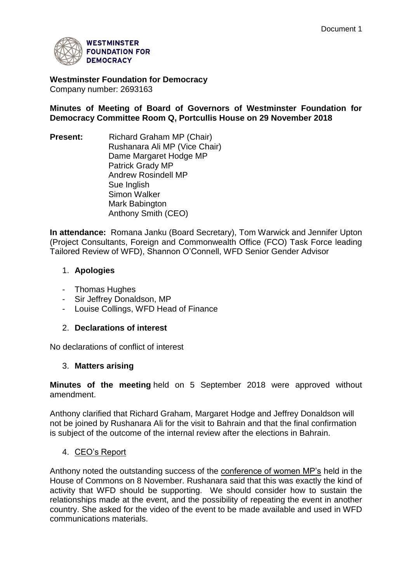

**Westminster Foundation for Democracy** Company number: 2693163

**Minutes of Meeting of Board of Governors of Westminster Foundation for Democracy Committee Room Q, Portcullis House on 29 November 2018**

**Present:** Richard Graham MP (Chair) Rushanara Ali MP (Vice Chair) Dame Margaret Hodge MP Patrick Grady MP Andrew Rosindell MP Sue Inglish Simon Walker Mark Babington Anthony Smith (CEO)

**In attendance:** Romana Janku (Board Secretary), Tom Warwick and Jennifer Upton (Project Consultants, Foreign and Commonwealth Office (FCO) Task Force leading Tailored Review of WFD), Shannon O'Connell, WFD Senior Gender Advisor

### 1. **Apologies**

- Thomas Hughes
- Sir Jeffrey Donaldson, MP
- Louise Collings, WFD Head of Finance

#### 2. **Declarations of interest**

No declarations of conflict of interest

#### 3. **Matters arising**

**Minutes of the meeting** held on 5 September 2018 were approved without amendment.

Anthony clarified that Richard Graham, Margaret Hodge and Jeffrey Donaldson will not be joined by Rushanara Ali for the visit to Bahrain and that the final confirmation is subject of the outcome of the internal review after the elections in Bahrain.

#### 4. CEO's Report

Anthony noted the outstanding success of the conference of women MP's held in the House of Commons on 8 November. Rushanara said that this was exactly the kind of activity that WFD should be supporting. We should consider how to sustain the relationships made at the event, and the possibility of repeating the event in another country. She asked for the video of the event to be made available and used in WFD communications materials.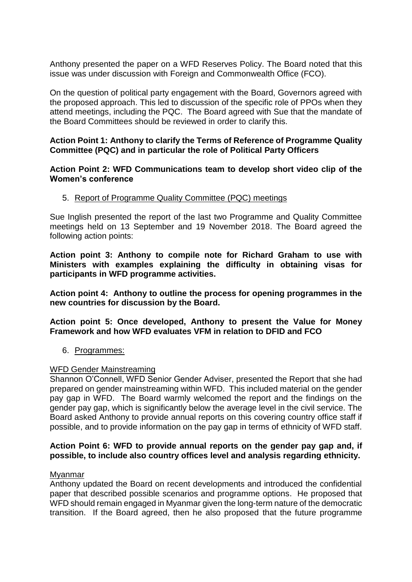Anthony presented the paper on a WFD Reserves Policy. The Board noted that this issue was under discussion with Foreign and Commonwealth Office (FCO).

On the question of political party engagement with the Board, Governors agreed with the proposed approach. This led to discussion of the specific role of PPOs when they attend meetings, including the PQC. The Board agreed with Sue that the mandate of the Board Committees should be reviewed in order to clarify this.

#### **Action Point 1: Anthony to clarify the Terms of Reference of Programme Quality Committee (PQC) and in particular the role of Political Party Officers**

**Action Point 2: WFD Communications team to develop short video clip of the Women's conference**

#### 5. Report of Programme Quality Committee (PQC) meetings

Sue Inglish presented the report of the last two Programme and Quality Committee meetings held on 13 September and 19 November 2018. The Board agreed the following action points:

**Action point 3: Anthony to compile note for Richard Graham to use with Ministers with examples explaining the difficulty in obtaining visas for participants in WFD programme activities.** 

**Action point 4: Anthony to outline the process for opening programmes in the new countries for discussion by the Board.**

**Action point 5: Once developed, Anthony to present the Value for Money Framework and how WFD evaluates VFM in relation to DFID and FCO** 

#### 6. Programmes:

#### WFD Gender Mainstreaming

Shannon O'Connell, WFD Senior Gender Adviser, presented the Report that she had prepared on gender mainstreaming within WFD. This included material on the gender pay gap in WFD. The Board warmly welcomed the report and the findings on the gender pay gap, which is significantly below the average level in the civil service. The Board asked Anthony to provide annual reports on this covering country office staff if possible, and to provide information on the pay gap in terms of ethnicity of WFD staff.

#### **Action Point 6: WFD to provide annual reports on the gender pay gap and, if possible, to include also country offices level and analysis regarding ethnicity.**

#### Myanmar

Anthony updated the Board on recent developments and introduced the confidential paper that described possible scenarios and programme options. He proposed that WFD should remain engaged in Myanmar given the long-term nature of the democratic transition. If the Board agreed, then he also proposed that the future programme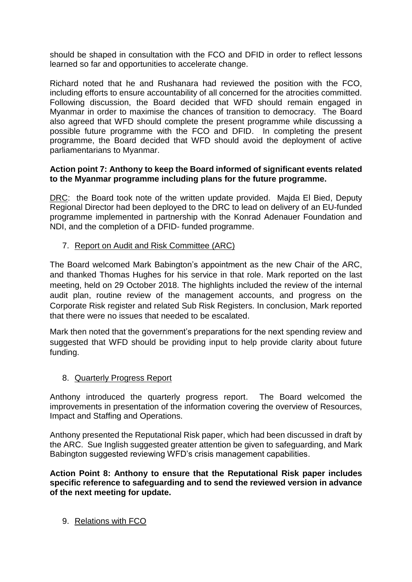should be shaped in consultation with the FCO and DFID in order to reflect lessons learned so far and opportunities to accelerate change.

Richard noted that he and Rushanara had reviewed the position with the FCO, including efforts to ensure accountability of all concerned for the atrocities committed. Following discussion, the Board decided that WFD should remain engaged in Myanmar in order to maximise the chances of transition to democracy. The Board also agreed that WFD should complete the present programme while discussing a possible future programme with the FCO and DFID. In completing the present programme, the Board decided that WFD should avoid the deployment of active parliamentarians to Myanmar.

#### **Action point 7: Anthony to keep the Board informed of significant events related to the Myanmar programme including plans for the future programme.**

DRC: the Board took note of the written update provided. Majda El Bied, Deputy Regional Director had been deployed to the DRC to lead on delivery of an EU-funded programme implemented in partnership with the Konrad Adenauer Foundation and NDI, and the completion of a DFID- funded programme.

7. Report on Audit and Risk Committee (ARC)

The Board welcomed Mark Babington's appointment as the new Chair of the ARC, and thanked Thomas Hughes for his service in that role. Mark reported on the last meeting, held on 29 October 2018. The highlights included the review of the internal audit plan, routine review of the management accounts, and progress on the Corporate Risk register and related Sub Risk Registers. In conclusion, Mark reported that there were no issues that needed to be escalated.

Mark then noted that the government's preparations for the next spending review and suggested that WFD should be providing input to help provide clarity about future funding.

# 8. Quarterly Progress Report

Anthony introduced the quarterly progress report. The Board welcomed the improvements in presentation of the information covering the overview of Resources, Impact and Staffing and Operations.

Anthony presented the Reputational Risk paper, which had been discussed in draft by the ARC. Sue Inglish suggested greater attention be given to safeguarding, and Mark Babington suggested reviewing WFD's crisis management capabilities.

**Action Point 8: Anthony to ensure that the Reputational Risk paper includes specific reference to safeguarding and to send the reviewed version in advance of the next meeting for update.** 

9. Relations with FCO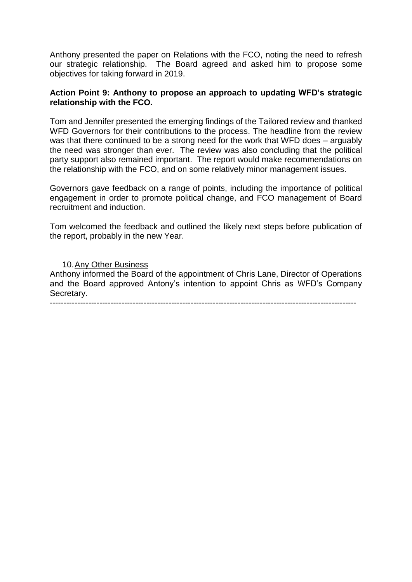Anthony presented the paper on Relations with the FCO, noting the need to refresh our strategic relationship. The Board agreed and asked him to propose some objectives for taking forward in 2019.

#### **Action Point 9: Anthony to propose an approach to updating WFD's strategic relationship with the FCO.**

Tom and Jennifer presented the emerging findings of the Tailored review and thanked WFD Governors for their contributions to the process. The headline from the review was that there continued to be a strong need for the work that WFD does – arguably the need was stronger than ever. The review was also concluding that the political party support also remained important. The report would make recommendations on the relationship with the FCO, and on some relatively minor management issues.

Governors gave feedback on a range of points, including the importance of political engagement in order to promote political change, and FCO management of Board recruitment and induction.

Tom welcomed the feedback and outlined the likely next steps before publication of the report, probably in the new Year.

10.Any Other Business Anthony informed the Board of the appointment of Chris Lane, Director of Operations and the Board approved Antony's intention to appoint Chris as WFD's Company Secretary. ---------------------------------------------------------------------------------------------------------------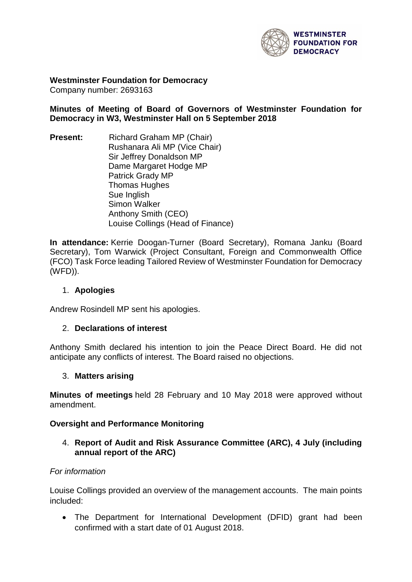

**Westminster Foundation for Democracy** Company number: 2693163

**Minutes of Meeting of Board of Governors of Westminster Foundation for Democracy in W3, Westminster Hall on 5 September 2018**

**Present:** Richard Graham MP (Chair) Rushanara Ali MP (Vice Chair) Sir Jeffrey Donaldson MP Dame Margaret Hodge MP Patrick Grady MP Thomas Hughes Sue Inglish Simon Walker Anthony Smith (CEO) Louise Collings (Head of Finance)

**In attendance:** Kerrie Doogan-Turner (Board Secretary), Romana Janku (Board Secretary), Tom Warwick (Project Consultant, Foreign and Commonwealth Office (FCO) Task Force leading Tailored Review of Westminster Foundation for Democracy (WFD)).

### 1. **Apologies**

Andrew Rosindell MP sent his apologies.

#### 2. **Declarations of interest**

Anthony Smith declared his intention to join the Peace Direct Board. He did not anticipate any conflicts of interest. The Board raised no objections.

#### 3. **Matters arising**

**Minutes of meetings** held 28 February and 10 May 2018 were approved without amendment.

#### **Oversight and Performance Monitoring**

4. **Report of Audit and Risk Assurance Committee (ARC), 4 July (including annual report of the ARC)**

#### *For information*

Louise Collings provided an overview of the management accounts. The main points included:

• The Department for International Development (DFID) grant had been confirmed with a start date of 01 August 2018.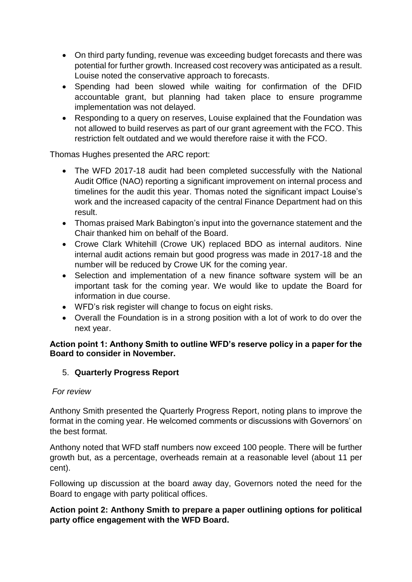- On third party funding, revenue was exceeding budget forecasts and there was potential for further growth. Increased cost recovery was anticipated as a result. Louise noted the conservative approach to forecasts.
- Spending had been slowed while waiting for confirmation of the DFID accountable grant, but planning had taken place to ensure programme implementation was not delayed.
- Responding to a query on reserves, Louise explained that the Foundation was not allowed to build reserves as part of our grant agreement with the FCO. This restriction felt outdated and we would therefore raise it with the FCO.

Thomas Hughes presented the ARC report:

- The WFD 2017-18 audit had been completed successfully with the National Audit Office (NAO) reporting a significant improvement on internal process and timelines for the audit this year. Thomas noted the significant impact Louise's work and the increased capacity of the central Finance Department had on this result.
- Thomas praised Mark Babington's input into the governance statement and the Chair thanked him on behalf of the Board.
- Crowe Clark Whitehill (Crowe UK) replaced BDO as internal auditors. Nine internal audit actions remain but good progress was made in 2017-18 and the number will be reduced by Crowe UK for the coming year.
- Selection and implementation of a new finance software system will be an important task for the coming year. We would like to update the Board for information in due course.
- WFD's risk register will change to focus on eight risks.
- Overall the Foundation is in a strong position with a lot of work to do over the next year.

# **Action point 1: Anthony Smith to outline WFD's reserve policy in a paper for the Board to consider in November.**

# 5. **Quarterly Progress Report**

# *For review*

Anthony Smith presented the Quarterly Progress Report, noting plans to improve the format in the coming year. He welcomed comments or discussions with Governors' on the best format.

Anthony noted that WFD staff numbers now exceed 100 people. There will be further growth but, as a percentage, overheads remain at a reasonable level (about 11 per cent).

Following up discussion at the board away day, Governors noted the need for the Board to engage with party political offices.

# **Action point 2: Anthony Smith to prepare a paper outlining options for political party office engagement with the WFD Board.**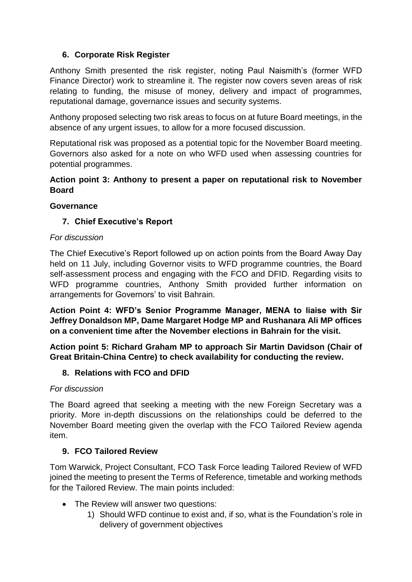# **6. Corporate Risk Register**

Anthony Smith presented the risk register, noting Paul Naismith's (former WFD Finance Director) work to streamline it. The register now covers seven areas of risk relating to funding, the misuse of money, delivery and impact of programmes, reputational damage, governance issues and security systems.

Anthony proposed selecting two risk areas to focus on at future Board meetings, in the absence of any urgent issues, to allow for a more focused discussion.

Reputational risk was proposed as a potential topic for the November Board meeting. Governors also asked for a note on who WFD used when assessing countries for potential programmes.

### **Action point 3: Anthony to present a paper on reputational risk to November Board**

### **Governance**

# **7. Chief Executive's Report**

### *For discussion*

The Chief Executive's Report followed up on action points from the Board Away Day held on 11 July, including Governor visits to WFD programme countries, the Board self-assessment process and engaging with the FCO and DFID. Regarding visits to WFD programme countries, Anthony Smith provided further information on arrangements for Governors' to visit Bahrain.

**Action Point 4: WFD's Senior Programme Manager, MENA to liaise with Sir Jeffrey Donaldson MP, Dame Margaret Hodge MP and Rushanara Ali MP offices on a convenient time after the November elections in Bahrain for the visit.** 

**Action point 5: Richard Graham MP to approach Sir Martin Davidson (Chair of Great Britain-China Centre) to check availability for conducting the review.**

# **8. Relations with FCO and DFID**

#### *For discussion*

The Board agreed that seeking a meeting with the new Foreign Secretary was a priority. More in-depth discussions on the relationships could be deferred to the November Board meeting given the overlap with the FCO Tailored Review agenda item.

# **9. FCO Tailored Review**

Tom Warwick, Project Consultant, FCO Task Force leading Tailored Review of WFD joined the meeting to present the Terms of Reference, timetable and working methods for the Tailored Review. The main points included:

- The Review will answer two questions:
	- 1) Should WFD continue to exist and, if so, what is the Foundation's role in delivery of government objectives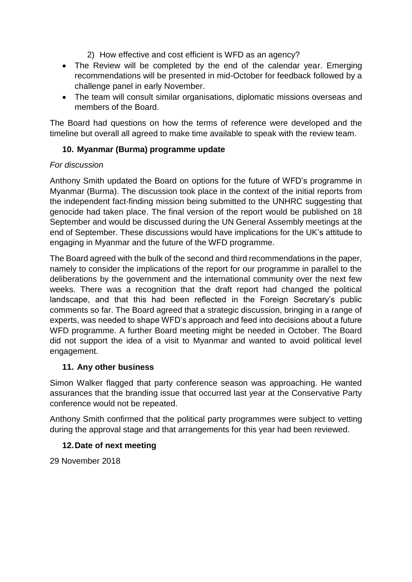- 2) How effective and cost efficient is WFD as an agency?
- The Review will be completed by the end of the calendar year. Emerging recommendations will be presented in mid-October for feedback followed by a challenge panel in early November.
- The team will consult similar organisations, diplomatic missions overseas and members of the Board.

The Board had questions on how the terms of reference were developed and the timeline but overall all agreed to make time available to speak with the review team.

# **10. Myanmar (Burma) programme update**

# *For discussion*

Anthony Smith updated the Board on options for the future of WFD's programme in Myanmar (Burma). The discussion took place in the context of the initial reports from the independent fact-finding mission being submitted to the UNHRC suggesting that genocide had taken place. The final version of the report would be published on 18 September and would be discussed during the UN General Assembly meetings at the end of September. These discussions would have implications for the UK's attitude to engaging in Myanmar and the future of the WFD programme.

The Board agreed with the bulk of the second and third recommendations in the paper, namely to consider the implications of the report for our programme in parallel to the deliberations by the government and the international community over the next few weeks. There was a recognition that the draft report had changed the political landscape, and that this had been reflected in the Foreign Secretary's public comments so far. The Board agreed that a strategic discussion, bringing in a range of experts, was needed to shape WFD's approach and feed into decisions about a future WFD programme. A further Board meeting might be needed in October. The Board did not support the idea of a visit to Myanmar and wanted to avoid political level engagement.

# **11. Any other business**

Simon Walker flagged that party conference season was approaching. He wanted assurances that the branding issue that occurred last year at the Conservative Party conference would not be repeated.

Anthony Smith confirmed that the political party programmes were subject to vetting during the approval stage and that arrangements for this year had been reviewed.

# **12.Date of next meeting**

29 November 2018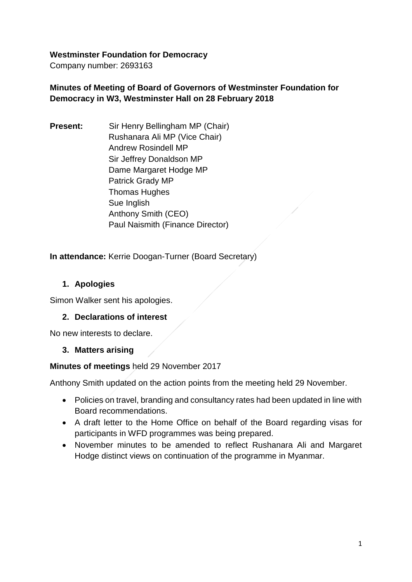### **Westminster Foundation for Democracy**

Company number: 2693163

# **Minutes of Meeting of Board of Governors of Westminster Foundation for Democracy in W3, Westminster Hall on 28 February 2018**

**Present:** Sir Henry Bellingham MP (Chair) Rushanara Ali MP (Vice Chair) Andrew Rosindell MP Sir Jeffrey Donaldson MP Dame Margaret Hodge MP Patrick Grady MP Thomas Hughes Sue Inglish Anthony Smith (CEO) Paul Naismith (Finance Director)

**In attendance:** Kerrie Doogan-Turner (Board Secretary)

# **1. Apologies**

Simon Walker sent his apologies.

# **2. Declarations of interest**

No new interests to declare.

# **3. Matters arising**

**Minutes of meetings** held 29 November 2017

Anthony Smith updated on the action points from the meeting held 29 November.

- Policies on travel, branding and consultancy rates had been updated in line with Board recommendations.
- A draft letter to the Home Office on behalf of the Board regarding visas for participants in WFD programmes was being prepared.
- November minutes to be amended to reflect Rushanara Ali and Margaret Hodge distinct views on continuation of the programme in Myanmar.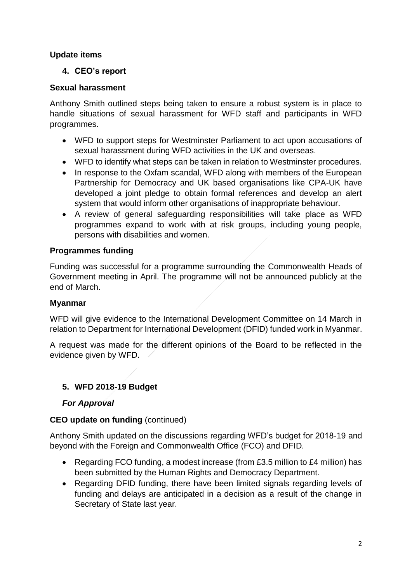# **Update items**

# **4. CEO's report**

# **Sexual harassment**

Anthony Smith outlined steps being taken to ensure a robust system is in place to handle situations of sexual harassment for WFD staff and participants in WFD programmes.

- WFD to support steps for Westminster Parliament to act upon accusations of sexual harassment during WFD activities in the UK and overseas.
- WFD to identify what steps can be taken in relation to Westminster procedures.
- In response to the Oxfam scandal, WFD along with members of the European Partnership for Democracy and UK based organisations like CPA-UK have developed a joint pledge to obtain formal references and develop an alert system that would inform other organisations of inappropriate behaviour.
- A review of general safeguarding responsibilities will take place as WFD programmes expand to work with at risk groups, including young people, persons with disabilities and women.

# **Programmes funding**

Funding was successful for a programme surrounding the Commonwealth Heads of Government meeting in April. The programme will not be announced publicly at the end of March.

# **Myanmar**

WFD will give evidence to the International Development Committee on 14 March in relation to Department for International Development (DFID) funded work in Myanmar.

A request was made for the different opinions of the Board to be reflected in the evidence given by WFD.

# **5. WFD 2018-19 Budget**

# *For Approval*

# **CEO update on funding** (continued)

Anthony Smith updated on the discussions regarding WFD's budget for 2018-19 and beyond with the Foreign and Commonwealth Office (FCO) and DFID.

- Regarding FCO funding, a modest increase (from £3.5 million to £4 million) has been submitted by the Human Rights and Democracy Department.
- Regarding DFID funding, there have been limited signals regarding levels of funding and delays are anticipated in a decision as a result of the change in Secretary of State last year.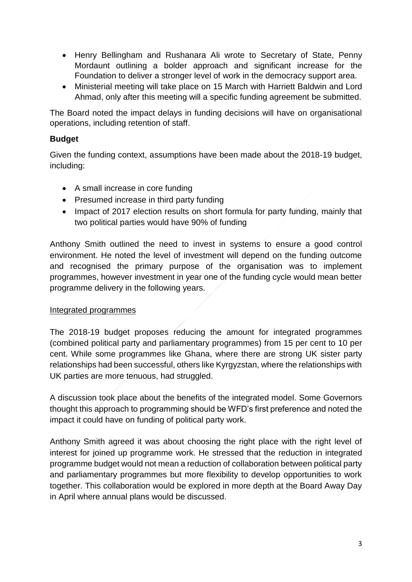- Henry Bellingham and Rushanara Ali wrote to Secretary of State, Penny Mordaunt outlining a bolder approach and significant increase for the Foundation to deliver a stronger level of work in the democracy support area.
- Ministerial meeting will take place on 15 March with Harriett Baldwin and Lord Ahmad, only after this meeting will a specific funding agreement be submitted.

The Board noted the impact delays in funding decisions will have on organisational operations, including retention of staff.

# **Budget**

Given the funding context, assumptions have been made about the 2018-19 budget, including:

- A small increase in core funding
- Presumed increase in third party funding
- Impact of 2017 election results on short formula for party funding, mainly that two political parties would have 90% of funding

Anthony Smith outlined the need to invest in systems to ensure a good control environment. He noted the level of investment will depend on the funding outcome and recognised the primary purpose of the organisation was to implement programmes, however investment in year one of the funding cycle would mean better programme delivery in the following years.

# Integrated programmes

The 2018-19 budget proposes reducing the amount for integrated programmes (combined political party and parliamentary programmes) from 15 per cent to 10 per cent. While some programmes like Ghana, where there are strong UK sister party relationships had been successful, others like Kyrgyzstan, where the relationships with UK parties are more tenuous, had struggled.

A discussion took place about the benefits of the integrated model. Some Governors thought this approach to programming should be WFD's first preference and noted the impact it could have on funding of political party work.

Anthony Smith agreed it was about choosing the right place with the right level of interest for joined up programme work. He stressed that the reduction in integrated programme budget would not mean a reduction of collaboration between political party and parliamentary programmes but more flexibility to develop opportunities to work together. This collaboration would be explored in more depth at the Board Away Day in April where annual plans would be discussed.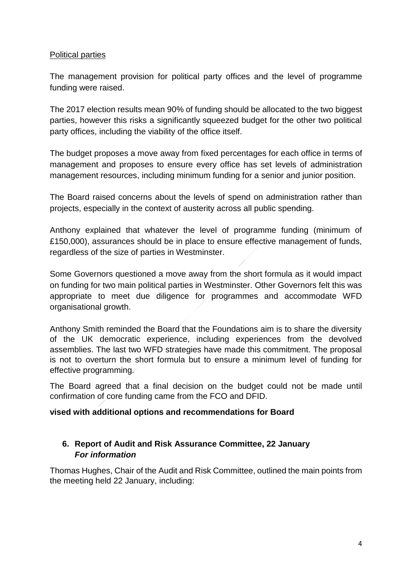### Political parties

The management provision for political party offices and the level of programme funding were raised.

The 2017 election results mean 90% of funding should be allocated to the two biggest parties, however this risks a significantly squeezed budget for the other two political party offices, including the viability of the office itself.

The budget proposes a move away from fixed percentages for each office in terms of management and proposes to ensure every office has set levels of administration management resources, including minimum funding for a senior and junior position.

The Board raised concerns about the levels of spend on administration rather than projects, especially in the context of austerity across all public spending.

Anthony explained that whatever the level of programme funding (minimum of £150,000), assurances should be in place to ensure effective management of funds, regardless of the size of parties in Westminster.

Some Governors questioned a move away from the short formula as it would impact on funding for two main political parties in Westminster. Other Governors felt this was appropriate to meet due diligence for programmes and accommodate WFD organisational growth.

Anthony Smith reminded the Board that the Foundations aim is to share the diversity of the UK democratic experience, including experiences from the devolved assemblies. The last two WFD strategies have made this commitment. The proposal is not to overturn the short formula but to ensure a minimum level of funding for effective programming.

The Board agreed that a final decision on the budget could not be made until confirmation of core funding came from the FCO and DFID.

# **vised with additional options and recommendations for Board**

# **6. Report of Audit and Risk Assurance Committee, 22 January** *For information*

Thomas Hughes, Chair of the Audit and Risk Committee, outlined the main points from the meeting held 22 January, including: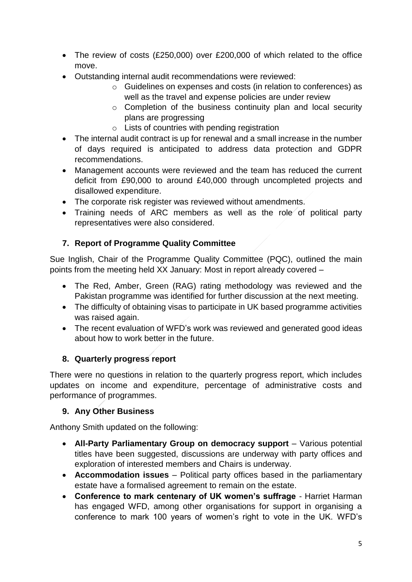- The review of costs (£250,000) over £200,000 of which related to the office move.
- Outstanding internal audit recommendations were reviewed:
	- o Guidelines on expenses and costs (in relation to conferences) as well as the travel and expense policies are under review
	- o Completion of the business continuity plan and local security plans are progressing
	- o Lists of countries with pending registration
- The internal audit contract is up for renewal and a small increase in the number of days required is anticipated to address data protection and GDPR recommendations.
- Management accounts were reviewed and the team has reduced the current deficit from £90,000 to around £40,000 through uncompleted projects and disallowed expenditure.
- The corporate risk register was reviewed without amendments.
- Training needs of ARC members as well as the role of political party representatives were also considered.

# **7. Report of Programme Quality Committee**

Sue Inglish, Chair of the Programme Quality Committee (PQC), outlined the main points from the meeting held XX January: Most in report already covered –

- The Red, Amber, Green (RAG) rating methodology was reviewed and the Pakistan programme was identified for further discussion at the next meeting.
- The difficulty of obtaining visas to participate in UK based programme activities was raised again.
- The recent evaluation of WFD's work was reviewed and generated good ideas about how to work better in the future.

# **8. Quarterly progress report**

There were no questions in relation to the quarterly progress report, which includes updates on income and expenditure, percentage of administrative costs and performance of programmes.

# **9. Any Other Business**

Anthony Smith updated on the following:

- **All-Party Parliamentary Group on democracy support** Various potential titles have been suggested, discussions are underway with party offices and exploration of interested members and Chairs is underway.
- **Accommodation issues**  Political party offices based in the parliamentary estate have a formalised agreement to remain on the estate.
- **Conference to mark centenary of UK women's suffrage**  Harriet Harman has engaged WFD, among other organisations for support in organising a conference to mark 100 years of women's right to vote in the UK. WFD's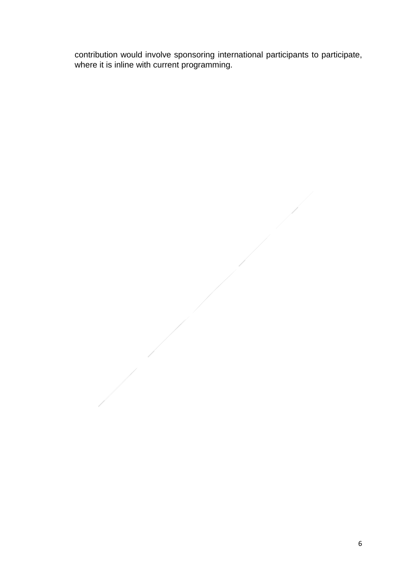contribution would involve sponsoring international participants to participate, where it is inline with current programming.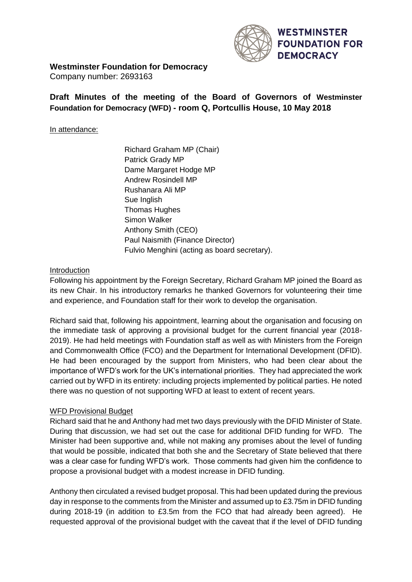

#### **Westminster Foundation for Democracy**

Company number: 2693163

**Draft Minutes of the meeting of the Board of Governors of Westminster Foundation for Democracy (WFD) - room Q, Portcullis House, 10 May 2018** 

#### In attendance:

Richard Graham MP (Chair) Patrick Grady MP Dame Margaret Hodge MP Andrew Rosindell MP Rushanara Ali MP Sue Inglish Thomas Hughes Simon Walker Anthony Smith (CEO) Paul Naismith (Finance Director) Fulvio Menghini (acting as board secretary).

#### Introduction

Following his appointment by the Foreign Secretary, Richard Graham MP joined the Board as its new Chair. In his introductory remarks he thanked Governors for volunteering their time and experience, and Foundation staff for their work to develop the organisation.

Richard said that, following his appointment, learning about the organisation and focusing on the immediate task of approving a provisional budget for the current financial year (2018- 2019). He had held meetings with Foundation staff as well as with Ministers from the Foreign and Commonwealth Office (FCO) and the Department for International Development (DFID). He had been encouraged by the support from Ministers, who had been clear about the importance of WFD's work for the UK's international priorities. They had appreciated the work carried out by WFD in its entirety: including projects implemented by political parties. He noted there was no question of not supporting WFD at least to extent of recent years.

#### WFD Provisional Budget

Richard said that he and Anthony had met two days previously with the DFID Minister of State. During that discussion, we had set out the case for additional DFID funding for WFD. The Minister had been supportive and, while not making any promises about the level of funding that would be possible, indicated that both she and the Secretary of State believed that there was a clear case for funding WFD's work. Those comments had given him the confidence to propose a provisional budget with a modest increase in DFID funding.

Anthony then circulated a revised budget proposal. This had been updated during the previous day in response to the comments from the Minister and assumed up to £3.75m in DFID funding during 2018-19 (in addition to £3.5m from the FCO that had already been agreed). He requested approval of the provisional budget with the caveat that if the level of DFID funding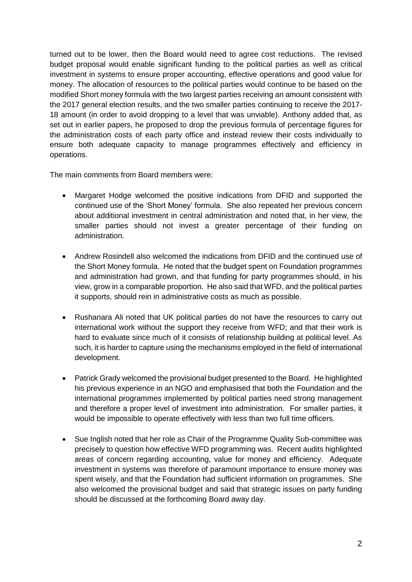turned out to be lower, then the Board would need to agree cost reductions. The revised budget proposal would enable significant funding to the political parties as well as critical investment in systems to ensure proper accounting, effective operations and good value for money. The allocation of resources to the political parties would continue to be based on the modified Short money formula with the two largest parties receiving an amount consistent with the 2017 general election results, and the two smaller parties continuing to receive the 2017- 18 amount (in order to avoid dropping to a level that was unviable). Anthony added that, as set out in earlier papers, he proposed to drop the previous formula of percentage figures for the administration costs of each party office and instead review their costs individually to ensure both adequate capacity to manage programmes effectively and efficiency in operations.

The main comments from Board members were:

- Margaret Hodge welcomed the positive indications from DFID and supported the continued use of the 'Short Money' formula. She also repeated her previous concern about additional investment in central administration and noted that, in her view, the smaller parties should not invest a greater percentage of their funding on administration.
- Andrew Rosindell also welcomed the indications from DFID and the continued use of the Short Money formula. He noted that the budget spent on Foundation programmes and administration had grown, and that funding for party programmes should, in his view, grow in a comparable proportion. He also said that WFD, and the political parties it supports, should rein in administrative costs as much as possible.
- Rushanara Ali noted that UK political parties do not have the resources to carry out international work without the support they receive from WFD; and that their work is hard to evaluate since much of it consists of relationship building at political level. As such, it is harder to capture using the mechanisms employed in the field of international development.
- Patrick Grady welcomed the provisional budget presented to the Board. He highlighted his previous experience in an NGO and emphasised that both the Foundation and the international programmes implemented by political parties need strong management and therefore a proper level of investment into administration. For smaller parties, it would be impossible to operate effectively with less than two full time officers.
- Sue Inglish noted that her role as Chair of the Programme Quality Sub-committee was precisely to question how effective WFD programming was. Recent audits highlighted areas of concern regarding accounting, value for money and efficiency. Adequate investment in systems was therefore of paramount importance to ensure money was spent wisely, and that the Foundation had sufficient information on programmes. She also welcomed the provisional budget and said that strategic issues on party funding should be discussed at the forthcoming Board away day.